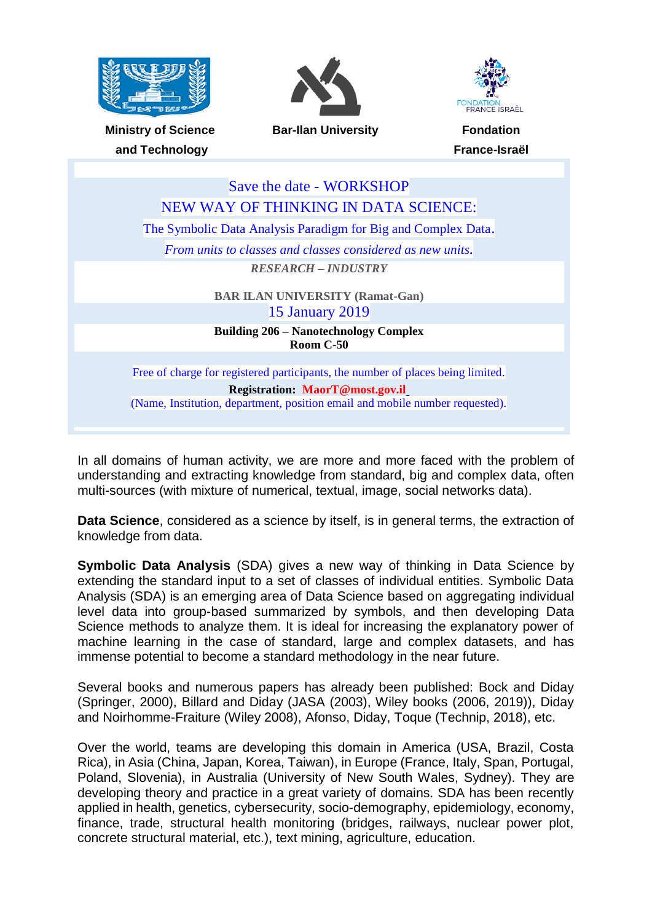





**Ministry of Science and Technology**

**Bar-Ilan University Fondation**

**France-Israël**

| Save the date - WORKSHOP                                                        |
|---------------------------------------------------------------------------------|
| NEW WAY OF THINKING IN DATA SCIENCE:                                            |
| The Symbolic Data Analysis Paradigm for Big and Complex Data.                   |
| From units to classes and classes considered as new units.                      |
| <b>RESEARCH – INDUSTRY</b>                                                      |
| <b>BAR ILAN UNIVERSITY (Ramat-Gan)</b>                                          |
| <b>15 January 2019</b>                                                          |
| <b>Building 206 – Nanotechnology Complex</b><br>Room $C-50$                     |
|                                                                                 |
| Free of charge for registered participants, the number of places being limited. |
| <b>Registration: MaorT@most.gov.il</b>                                          |
| (Name, Institution, department, position email and mobile number requested).    |

In all domains of human activity, we are more and more faced with the problem of understanding and extracting knowledge from standard, big and complex data, often multi-sources (with mixture of numerical, textual, image, social networks data).

**Data Science**, considered as a science by itself, is in general terms, the extraction of knowledge from data.

**Symbolic Data Analysis** (SDA) gives a new way of thinking in Data Science by extending the standard input to a set of classes of individual entities. Symbolic Data Analysis (SDA) is an emerging area of Data Science based on aggregating individual level data into group-based summarized by symbols, and then developing Data Science methods to analyze them. It is ideal for increasing the explanatory power of machine learning in the case of standard, large and complex datasets, and has immense potential to become a standard methodology in the near future.

Several books and numerous papers has already been published: Bock and Diday (Springer, 2000), Billard and Diday (JASA (2003), Wiley books (2006, 2019)), Diday and Noirhomme-Fraiture (Wiley 2008), Afonso, Diday, Toque (Technip, 2018), etc.

Over the world, teams are developing this domain in America (USA, Brazil, Costa Rica), in Asia (China, Japan, Korea, Taiwan), in Europe (France, Italy, Span, Portugal, Poland, Slovenia), in Australia (University of New South Wales, Sydney). They are developing theory and practice in a great variety of domains. SDA has been recently applied in health, genetics, cybersecurity, socio-demography, epidemiology, economy, finance, trade, structural health monitoring (bridges, railways, nuclear power plot, concrete structural material, etc.), text mining, agriculture, education.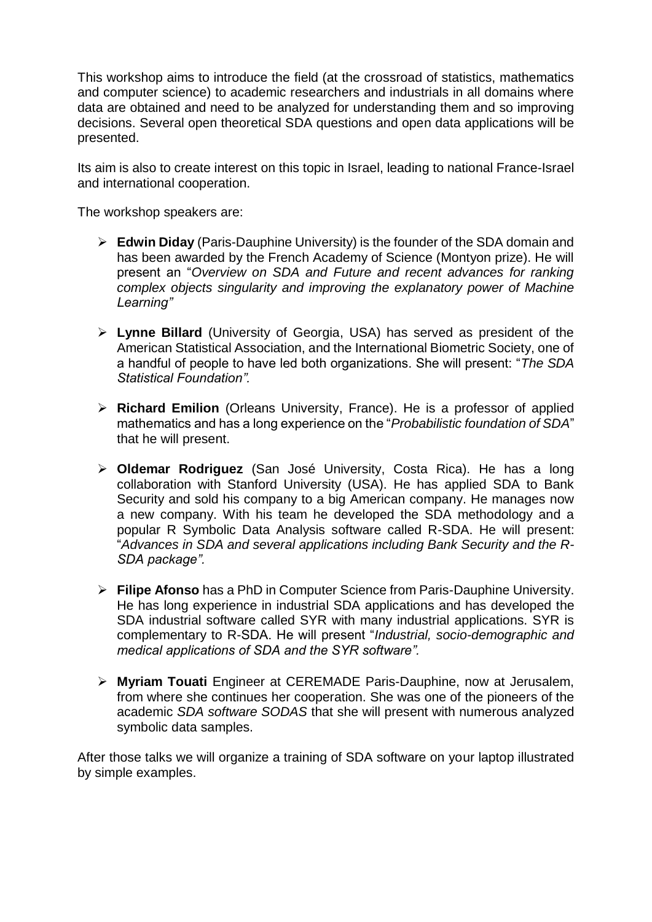This workshop aims to introduce the field (at the crossroad of statistics, mathematics and computer science) to academic researchers and industrials in all domains where data are obtained and need to be analyzed for understanding them and so improving decisions. Several open theoretical SDA questions and open data applications will be presented.

Its aim is also to create interest on this topic in Israel, leading to national France-Israel and international cooperation.

The workshop speakers are:

- **Edwin Diday** (Paris-Dauphine University) is the founder of the SDA domain and has been awarded by the French Academy of Science (Montyon prize). He will present an "*Overview on SDA and Future and recent advances for ranking complex objects singularity and improving the explanatory power of Machine Learning"*
- **Lynne Billard** (University of Georgia, USA) has served as president of the American Statistical Association, and the International Biometric Society, one of a handful of people to have led both organizations. She will present: "*The SDA Statistical Foundation".*
- **Richard Emilion** (Orleans University, France). He is a professor of applied mathematics and has a long experience on the "*Probabilistic foundation of SDA*" that he will present.
- **Oldemar Rodriguez** (San José University, Costa Rica). He has a long collaboration with Stanford University (USA). He has applied SDA to Bank Security and sold his company to a big American company. He manages now a new company. With his team he developed the SDA methodology and a popular R Symbolic Data Analysis software called R-SDA. He will present: "*Advances in SDA and several applications including Bank Security and the R-SDA package".*
- **Filipe Afonso** has a PhD in Computer Science from Paris-Dauphine University. He has long experience in industrial SDA applications and has developed the SDA industrial software called SYR with many industrial applications. SYR is complementary to R-SDA. He will present "*Industrial, socio-demographic and medical applications of SDA and the SYR software".*
- **Myriam Touati** Engineer at CEREMADE Paris-Dauphine, now at Jerusalem, from where she continues her cooperation. She was one of the pioneers of the academic *SDA software SODAS* that she will present with numerous analyzed symbolic data samples.

After those talks we will organize a training of SDA software on your laptop illustrated by simple examples.